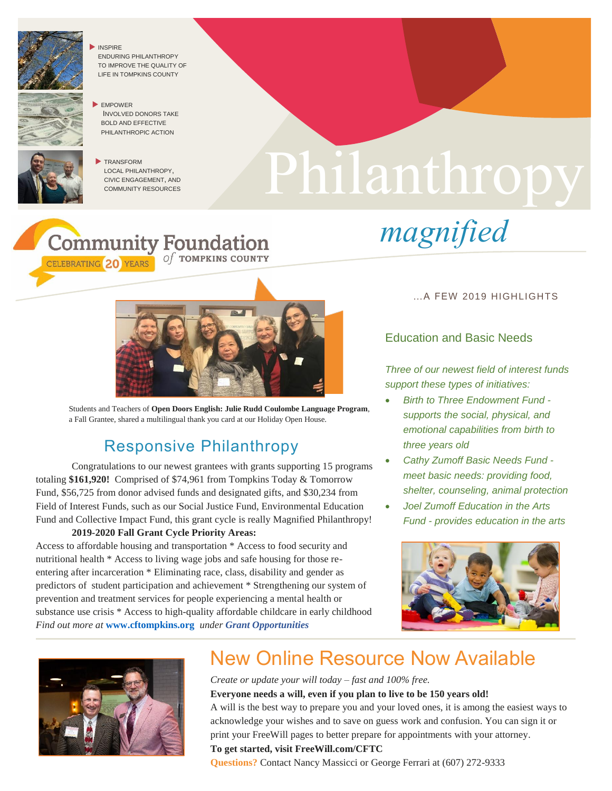

 INSPIRE ENDURING PHILANTHROPY TO IMPROVE THE QUALITY OF LIFE IN TOMPKINS COUNTY





CELEBRATING 20 YEARS

TRANSFORM LOCAL PHILANTHROPY, CIVIC ENGAGEMENT, AND COMMUNITY RESOURCES

**Community Foundation** 

# Philanthropy

*magnified*



Of TOMPKINS COUNTY

Students and Teachers of **Open Doors English: Julie Rudd Coulombe Language Program**, a Fall Grantee, shared a multilingual thank you card at our Holiday Open House.

### Responsive Philanthropy

Congratulations to our newest grantees with grants supporting 15 programs totaling **\$161,920!** Comprised of \$74,961 from Tompkins Today & Tomorrow Fund, \$56,725 from donor advised funds and designated gifts, and \$30,234 from Field of Interest Funds, such as our Social Justice Fund, Environmental Education Fund and Collective Impact Fund, this grant cycle is really Magnified Philanthropy!

#### **2019-2020 Fall Grant Cycle Priority Areas:**

Access to affordable housing and transportation \* Access to food security and nutritional health \* Access to living wage jobs and safe housing for those reentering after incarceration \* Eliminating race, class, disability and gender as predictors of student participation and achievement \* Strengthening our system of prevention and treatment services for people experiencing a mental health or substance use crisis \* Access to high-quality affordable childcare in early childhood *Find out more at* **[www.cftompkins.org](http://www.cftompkins.org/)** *under Grant Opportunities*

#### …A FEW 2019 HIGHLIGHTS

#### Education and Basic Needs

*Three of our newest field of interest funds support these types of initiatives:*

- *Birth to Three Endowment Fund supports the social, physical, and emotional capabilities from birth to three years old*
- *Cathy Zumoff Basic Needs Fund meet basic needs: providing food, shelter, counseling, animal protection*
- *Joel Zumoff Education in the Arts Fund - provides education in the arts*





## New Online Resource Now Available

*Create or update your will today – fast and 100% free.* **Everyone needs a will, even if you plan to live to be 150 years old!** A will is the best way to prepare you and your loved ones, it is among the easiest ways to acknowledge your wishes and to save on guess work and confusion. You can sign it or print your FreeWill pages to better prepare for appointments with your attorney. **To get started, visit FreeWill.com/CFTC**

**Questions?** Contact Nancy Massicci or George Ferrari at (607) 272-9333